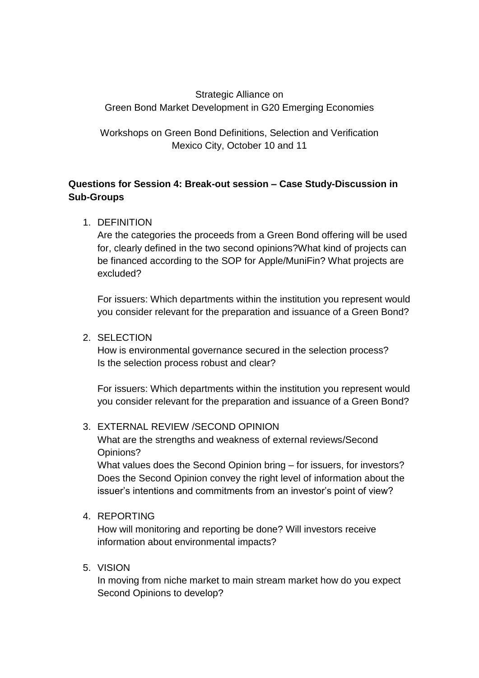## Strategic Alliance on Green Bond Market Development in G20 Emerging Economies

Workshops on Green Bond Definitions, Selection and Verification Mexico City, October 10 and 11

# **Questions for Session 4: Break-out session – Case Study-Discussion in Sub-Groups**

1. DEFINITION

Are the categories the proceeds from a Green Bond offering will be used for, clearly defined in the two second opinions?What kind of projects can be financed according to the SOP for Apple/MuniFin? What projects are excluded?

For issuers: Which departments within the institution you represent would you consider relevant for the preparation and issuance of a Green Bond?

### 2. SELECTION

How is environmental governance secured in the selection process? Is the selection process robust and clear?

For issuers: Which departments within the institution you represent would you consider relevant for the preparation and issuance of a Green Bond?

### 3. EXTERNAL REVIEW /SECOND OPINION

What are the strengths and weakness of external reviews/Second Opinions?

What values does the Second Opinion bring – for issuers, for investors? Does the Second Opinion convey the right level of information about the issuer's intentions and commitments from an investor's point of view?

### 4. REPORTING

How will monitoring and reporting be done? Will investors receive information about environmental impacts?

### 5. VISION

In moving from niche market to main stream market how do you expect Second Opinions to develop?